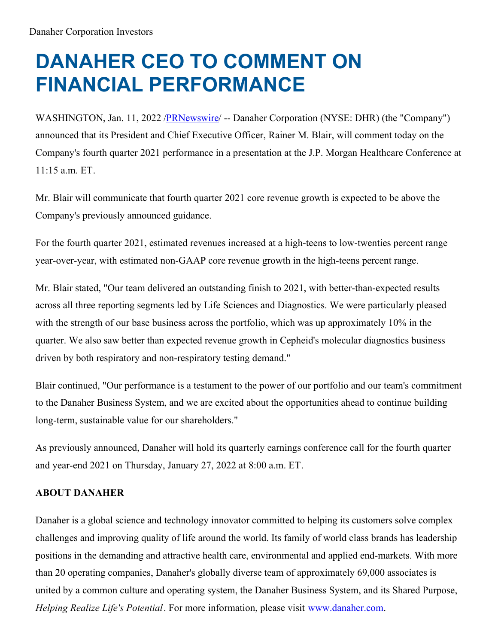# **DANAHER CEO TO COMMENT ON FINANCIAL PERFORMANCE**

WASHINGTON, Jan. 11, 2022 [/PRNewswire](http://www.prnewswire.com/)/ -- Danaher Corporation (NYSE: DHR) (the "Company") announced that its President and Chief Executive Officer, Rainer M. Blair, will comment today on the Company's fourth quarter 2021 performance in a presentation at the J.P. Morgan Healthcare Conference at 11:15 a.m. ET.

Mr. Blair will communicate that fourth quarter 2021 core revenue growth is expected to be above the Company's previously announced guidance.

For the fourth quarter 2021, estimated revenues increased at a high-teens to low-twenties percent range year-over-year, with estimated non-GAAP core revenue growth in the high-teens percent range.

Mr. Blair stated, "Our team delivered an outstanding finish to 2021, with better-than-expected results across all three reporting segments led by Life Sciences and Diagnostics. We were particularly pleased with the strength of our base business across the portfolio, which was up approximately 10% in the quarter. We also saw better than expected revenue growth in Cepheid's molecular diagnostics business driven by both respiratory and non-respiratory testing demand."

Blair continued, "Our performance is a testament to the power of our portfolio and our team's commitment to the Danaher Business System, and we are excited about the opportunities ahead to continue building long-term, sustainable value for our shareholders."

As previously announced, Danaher will hold its quarterly earnings conference call for the fourth quarter and year-end 2021 on Thursday, January 27, 2022 at 8:00 a.m. ET.

# **ABOUT DANAHER**

Danaher is a global science and technology innovator committed to helping its customers solve complex challenges and improving quality of life around the world. Its family of world class brands has leadership positions in the demanding and attractive health care, environmental and applied end-markets. With more than 20 operating companies, Danaher's globally diverse team of approximately 69,000 associates is united by a common culture and operating system, the Danaher Business System, and its Shared Purpose, *Helping Realize Life's Potential*. For more information, please visit [www.danaher.com](https://c212.net/c/link/?t=0&l=en&o=3408968-1&h=3306670168&u=http%3A%2F%2Fwww.danaher.com%2F&a=www.danaher.com).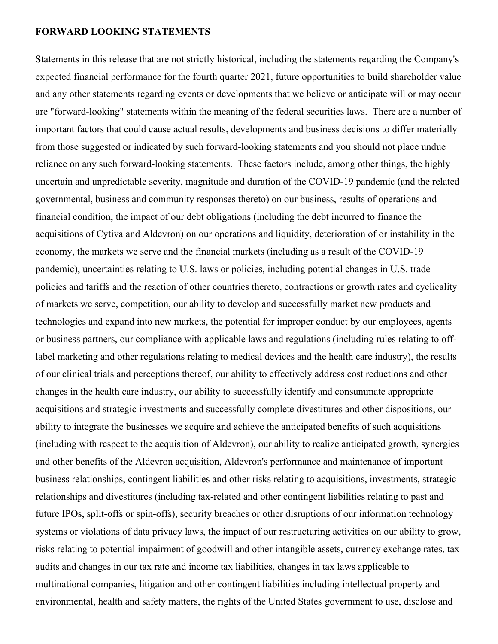### **FORWARD LOOKING STATEMENTS**

Statements in this release that are not strictly historical, including the statements regarding the Company's expected financial performance for the fourth quarter 2021, future opportunities to build shareholder value and any other statements regarding events or developments that we believe or anticipate will or may occur are "forward-looking" statements within the meaning of the federal securities laws. There are a number of important factors that could cause actual results, developments and business decisions to differ materially from those suggested or indicated by such forward-looking statements and you should not place undue reliance on any such forward-looking statements. These factors include, among other things, the highly uncertain and unpredictable severity, magnitude and duration of the COVID-19 pandemic (and the related governmental, business and community responses thereto) on our business, results of operations and financial condition, the impact of our debt obligations (including the debt incurred to finance the acquisitions of Cytiva and Aldevron) on our operations and liquidity, deterioration of or instability in the economy, the markets we serve and the financial markets (including as a result of the COVID-19 pandemic), uncertainties relating to U.S. laws or policies, including potential changes in U.S. trade policies and tariffs and the reaction of other countries thereto, contractions or growth rates and cyclicality of markets we serve, competition, our ability to develop and successfully market new products and technologies and expand into new markets, the potential for improper conduct by our employees, agents or business partners, our compliance with applicable laws and regulations (including rules relating to offlabel marketing and other regulations relating to medical devices and the health care industry), the results of our clinical trials and perceptions thereof, our ability to effectively address cost reductions and other changes in the health care industry, our ability to successfully identify and consummate appropriate acquisitions and strategic investments and successfully complete divestitures and other dispositions, our ability to integrate the businesses we acquire and achieve the anticipated benefits of such acquisitions (including with respect to the acquisition of Aldevron), our ability to realize anticipated growth, synergies and other benefits of the Aldevron acquisition, Aldevron's performance and maintenance of important business relationships, contingent liabilities and other risks relating to acquisitions, investments, strategic relationships and divestitures (including tax-related and other contingent liabilities relating to past and future IPOs, split-offs or spin-offs), security breaches or other disruptions of our information technology systems or violations of data privacy laws, the impact of our restructuring activities on our ability to grow, risks relating to potential impairment of goodwill and other intangible assets, currency exchange rates, tax audits and changes in our tax rate and income tax liabilities, changes in tax laws applicable to multinational companies, litigation and other contingent liabilities including intellectual property and environmental, health and safety matters, the rights of the United States government to use, disclose and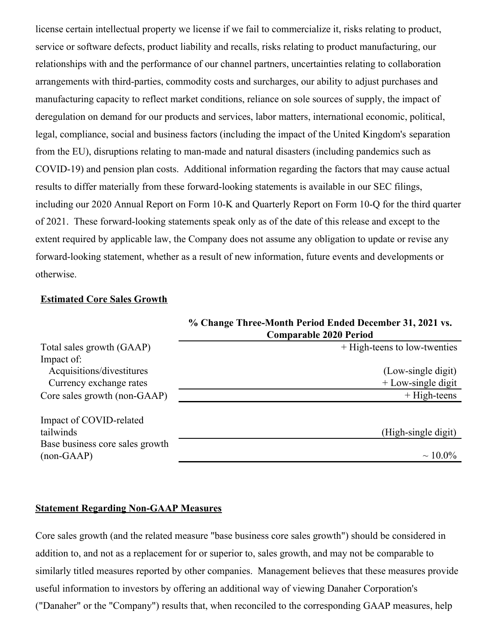license certain intellectual property we license if we fail to commercialize it, risks relating to product, service or software defects, product liability and recalls, risks relating to product manufacturing, our relationships with and the performance of our channel partners, uncertainties relating to collaboration arrangements with third-parties, commodity costs and surcharges, our ability to adjust purchases and manufacturing capacity to reflect market conditions, reliance on sole sources of supply, the impact of deregulation on demand for our products and services, labor matters, international economic, political, legal, compliance, social and business factors (including the impact of the United Kingdom's separation from the EU), disruptions relating to man-made and natural disasters (including pandemics such as COVID-19) and pension plan costs. Additional information regarding the factors that may cause actual results to differ materially from these forward-looking statements is available in our SEC filings, including our 2020 Annual Report on Form 10-K and Quarterly Report on Form 10-Q for the third quarter of 2021. These forward-looking statements speak only as of the date of this release and except to the extent required by applicable law, the Company does not assume any obligation to update or revise any forward-looking statement, whether as a result of new information, future events and developments or otherwise.

#### **Estimated Core Sales Growth**

|                                      | % Change Three-Month Period Ended December 31, 2021 vs.<br><b>Comparable 2020 Period</b> |
|--------------------------------------|------------------------------------------------------------------------------------------|
| Total sales growth (GAAP)            | + High-teens to low-twenties                                                             |
| Impact of:                           |                                                                                          |
| Acquisitions/divestitures            | (Low-single digit)                                                                       |
| Currency exchange rates              | $+$ Low-single digit                                                                     |
| Core sales growth (non-GAAP)         | $+$ High-teens                                                                           |
| Impact of COVID-related<br>tailwinds | (High-single digit)                                                                      |
| Base business core sales growth      |                                                                                          |
| $(non-GAAP)$                         | $\sim 10.0\%$                                                                            |

## **Statement Regarding Non-GAAP Measures**

Core sales growth (and the related measure "base business core sales growth") should be considered in addition to, and not as a replacement for or superior to, sales growth, and may not be comparable to similarly titled measures reported by other companies. Management believes that these measures provide useful information to investors by offering an additional way of viewing Danaher Corporation's ("Danaher" or the "Company") results that, when reconciled to the corresponding GAAP measures, help